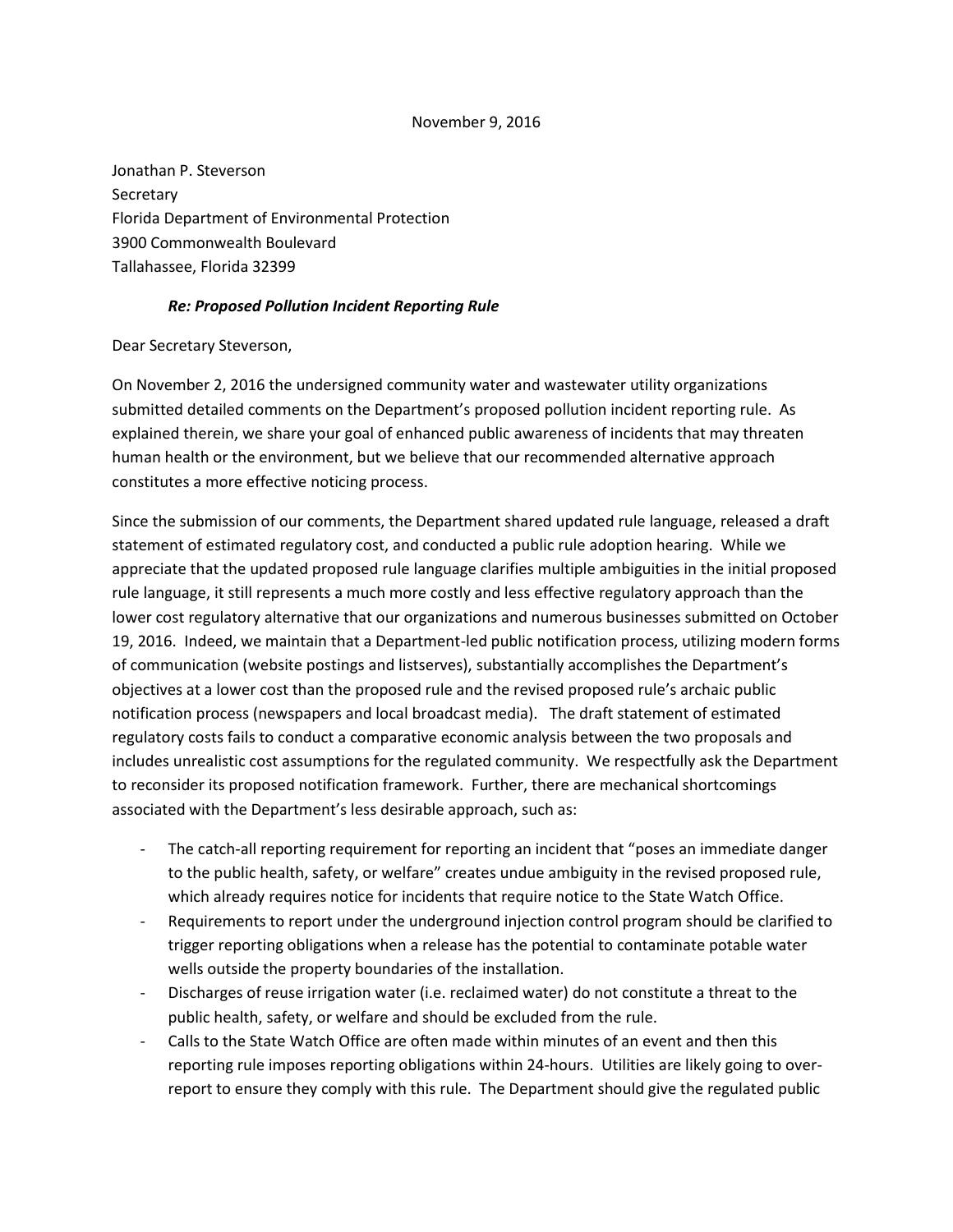## November 9, 2016

Jonathan P. Steverson **Secretary** Florida Department of Environmental Protection 3900 Commonwealth Boulevard Tallahassee, Florida 32399

## *Re: Proposed Pollution Incident Reporting Rule*

Dear Secretary Steverson,

On November 2, 2016 the undersigned community water and wastewater utility organizations submitted detailed comments on the Department's proposed pollution incident reporting rule. As explained therein, we share your goal of enhanced public awareness of incidents that may threaten human health or the environment, but we believe that our recommended alternative approach constitutes a more effective noticing process.

Since the submission of our comments, the Department shared updated rule language, released a draft statement of estimated regulatory cost, and conducted a public rule adoption hearing. While we appreciate that the updated proposed rule language clarifies multiple ambiguities in the initial proposed rule language, it still represents a much more costly and less effective regulatory approach than the lower cost regulatory alternative that our organizations and numerous businesses submitted on October 19, 2016. Indeed, we maintain that a Department-led public notification process, utilizing modern forms of communication (website postings and listserves), substantially accomplishes the Department's objectives at a lower cost than the proposed rule and the revised proposed rule's archaic public notification process (newspapers and local broadcast media). The draft statement of estimated regulatory costs fails to conduct a comparative economic analysis between the two proposals and includes unrealistic cost assumptions for the regulated community. We respectfully ask the Department to reconsider its proposed notification framework. Further, there are mechanical shortcomings associated with the Department's less desirable approach, such as:

- The catch-all reporting requirement for reporting an incident that "poses an immediate danger to the public health, safety, or welfare" creates undue ambiguity in the revised proposed rule, which already requires notice for incidents that require notice to the State Watch Office.
- Requirements to report under the underground injection control program should be clarified to trigger reporting obligations when a release has the potential to contaminate potable water wells outside the property boundaries of the installation.
- Discharges of reuse irrigation water (i.e. reclaimed water) do not constitute a threat to the public health, safety, or welfare and should be excluded from the rule.
- Calls to the State Watch Office are often made within minutes of an event and then this reporting rule imposes reporting obligations within 24-hours. Utilities are likely going to overreport to ensure they comply with this rule. The Department should give the regulated public